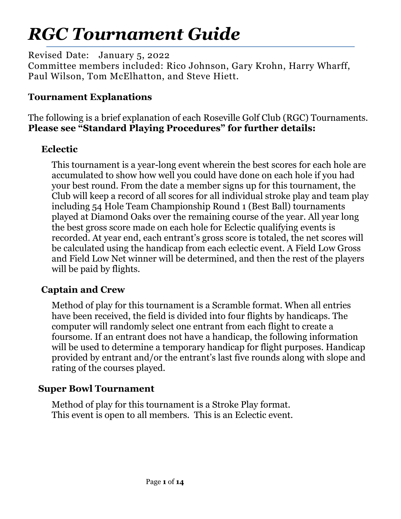# *RGC Tournament Guide*

Revised Date: January 5, 2022

Committee members included: Rico Johnson, Gary Krohn, Harry Wharff, Paul Wilson, Tom McElhatton, and Steve Hiett.

# **Tournament Explanations**

The following is a brief explanation of each Roseville Golf Club (RGC) Tournaments. **Please see "Standard Playing Procedures" for further details:**

# **Eclectic**

This tournament is a year-long event wherein the best scores for each hole are accumulated to show how well you could have done on each hole if you had your best round. From the date a member signs up for this tournament, the Club will keep a record of all scores for all individual stroke play and team play including 54 Hole Team Championship Round 1 (Best Ball) tournaments played at Diamond Oaks over the remaining course of the year. All year long the best gross score made on each hole for Eclectic qualifying events is recorded. At year end, each entrant's gross score is totaled, the net scores will be calculated using the handicap from each eclectic event. A Field Low Gross and Field Low Net winner will be determined, and then the rest of the players will be paid by flights.

# **Captain and Crew**

Method of play for this tournament is a Scramble format. When all entries have been received, the field is divided into four flights by handicaps. The computer will randomly select one entrant from each flight to create a foursome. If an entrant does not have a handicap, the following information will be used to determine a temporary handicap for flight purposes. Handicap provided by entrant and/or the entrant's last five rounds along with slope and rating of the courses played.

## **Super Bowl Tournament**

Method of play for this tournament is a Stroke Play format. This event is open to all members. This is an Eclectic event.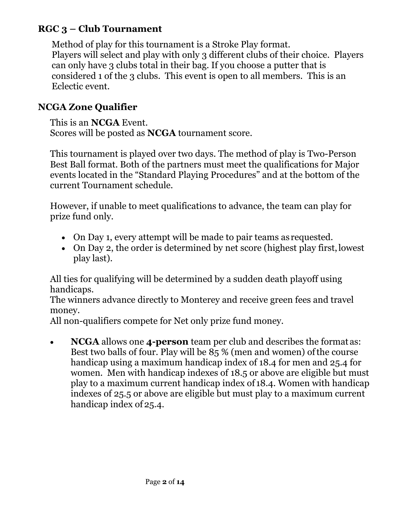# **RGC 3 – Club Tournament**

Method of play for this tournament is a Stroke Play format. Players will select and play with only 3 different clubs of their choice. Players can only have 3 clubs total in their bag. If you choose a putter that is considered 1 of the 3 clubs. This event is open to all members. This is an Eclectic event.

#### **NCGA Zone Qualifier**

This is an **NCGA** Event. Scores will be posted as **NCGA** tournament score.

This tournament is played over two days. The method of play is Two-Person Best Ball format. Both of the partners must meet the qualifications for Major events located in the "Standard Playing Procedures" and at the bottom of the current Tournament schedule.

However, if unable to meet qualifications to advance, the team can play for prize fund only.

- On Day 1, every attempt will be made to pair teams as requested.
- On Day 2, the order is determined by net score (highest play first, lowest play last).

All ties for qualifying will be determined by a sudden death playoff using handicaps.

The winners advance directly to Monterey and receive green fees and travel money.

All non-qualifiers compete for Net only prize fund money.

 **NCGA** allows one **4-person** team per club and describes the format as: Best two balls of four. Play will be 85 % (men and women) of the course handicap using a maximum handicap index of 18.4 for men and 25.4 for women. Men with handicap indexes of 18.5 or above are eligible but must play to a maximum current handicap index of 18.4. Women with handicap indexes of 25.5 or above are eligible but must play to a maximum current handicap index of 25.4.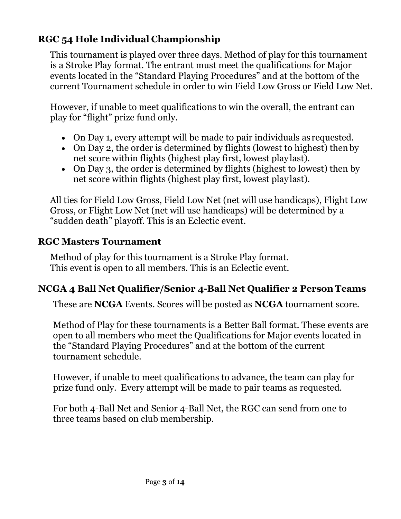# **RGC 54 Hole Individual Championship**

This tournament is played over three days. Method of play for this tournament is a Stroke Play format. The entrant must meet the qualifications for Major events located in the "Standard Playing Procedures" and at the bottom of the current Tournament schedule in order to win Field Low Gross or Field Low Net.

However, if unable to meet qualifications to win the overall, the entrant can play for "flight" prize fund only.

- On Day 1, every attempt will be made to pair individuals as requested.
- On Day 2, the order is determined by flights (lowest to highest) then by net score within flights (highest play first, lowest play last).
- On Day 3, the order is determined by flights (highest to lowest) then by net score within flights (highest play first, lowest play last).

All ties for Field Low Gross, Field Low Net (net will use handicaps), Flight Low Gross, or Flight Low Net (net will use handicaps) will be determined by a "sudden death" playoff. This is an Eclectic event.

#### **RGC Masters Tournament**

Method of play for this tournament is a Stroke Play format. This event is open to all members. This is an Eclectic event.

# **NCGA 4 Ball Net Qualifier/Senior 4-Ball Net Qualifier 2 Person Teams**

These are **NCGA** Events. Scores will be posted as **NCGA** tournament score.

Method of Play for these tournaments is a Better Ball format. These events are open to all members who meet the Qualifications for Major events located in the "Standard Playing Procedures" and at the bottom of the current tournament schedule.

However, if unable to meet qualifications to advance, the team can play for prize fund only. Every attempt will be made to pair teams as requested.

For both 4-Ball Net and Senior 4-Ball Net, the RGC can send from one to three teams based on club membership.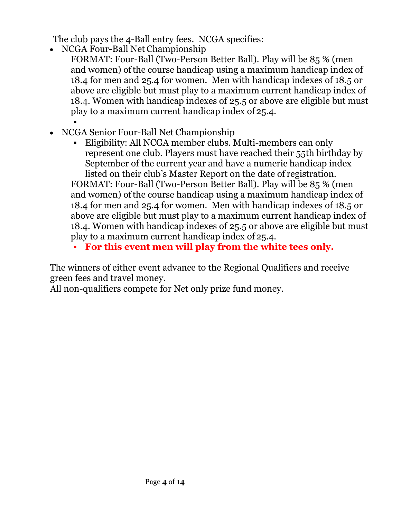The club pays the 4-Ball entry fees. NCGA specifies:

- NCGA Four-Ball Net Championship
	- FORMAT: Four-Ball (Two-Person Better Ball). Play will be 85 % (men and women) of the course handicap using a maximum handicap index of 18.4 for men and 25.4 for women. Men with handicap indexes of 18.5 or above are eligible but must play to a maximum current handicap index of 18.4. Women with handicap indexes of 25.5 or above are eligible but must play to a maximum current handicap index of 25.4. .
- NCGA Senior Four-Ball Net Championship
	- Eligibility: All NCGA member clubs. Multi-members can only represent one club. Players must have reached their 55th birthday by September of the current year and have a numeric handicap index listed on their club's Master Report on the date of registration.

FORMAT: Four-Ball (Two-Person Better Ball). Play will be 85 % (men and women) of the course handicap using a maximum handicap index of 18.4 for men and 25.4 for women. Men with handicap indexes of 18.5 or above are eligible but must play to a maximum current handicap index of 18.4. Women with handicap indexes of 25.5 or above are eligible but must play to a maximum current handicap index of 25.4.

**For this event men will play from the white tees only.** 

The winners of either event advance to the Regional Qualifiers and receive green fees and travel money.

All non-qualifiers compete for Net only prize fund money.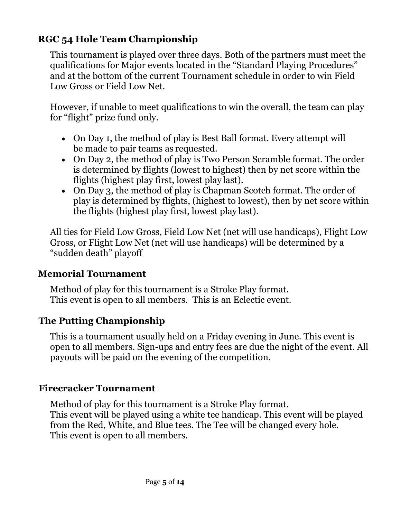# **RGC 54 Hole Team Championship**

This tournament is played over three days. Both of the partners must meet the qualifications for Major events located in the "Standard Playing Procedures" and at the bottom of the current Tournament schedule in order to win Field Low Gross or Field Low Net.

However, if unable to meet qualifications to win the overall, the team can play for "flight" prize fund only.

- On Day 1, the method of play is Best Ball format. Every attempt will be made to pair teams as requested.
- On Day 2, the method of play is Two Person Scramble format. The order is determined by flights (lowest to highest) then by net score within the flights (highest play first, lowest play last).
- On Day 3, the method of play is Chapman Scotch format. The order of play is determined by flights, (highest to lowest), then by net score within the flights (highest play first, lowest play last).

All ties for Field Low Gross, Field Low Net (net will use handicaps), Flight Low Gross, or Flight Low Net (net will use handicaps) will be determined by a "sudden death" playoff

#### **Memorial Tournament**

Method of play for this tournament is a Stroke Play format. This event is open to all members. This is an Eclectic event.

#### **The Putting Championship**

This is a tournament usually held on a Friday evening in June. This event is open to all members. Sign-ups and entry fees are due the night of the event. All payouts will be paid on the evening of the competition.

#### **Firecracker Tournament**

Method of play for this tournament is a Stroke Play format. This event will be played using a white tee handicap. This event will be played from the Red, White, and Blue tees. The Tee will be changed every hole. This event is open to all members.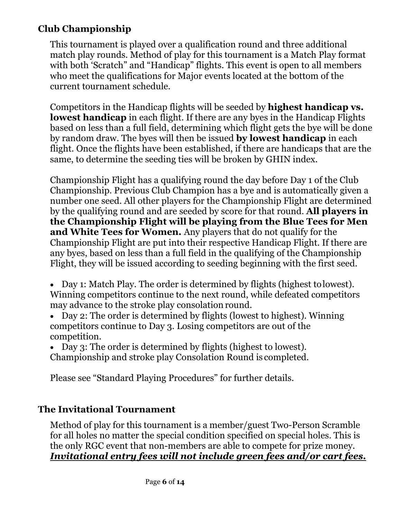# **Club Championship**

This tournament is played over a qualification round and three additional match play rounds. Method of play for this tournament is a Match Play format with both 'Scratch" and "Handicap" flights. This event is open to all members who meet the qualifications for Major events located at the bottom of the current tournament schedule.

Competitors in the Handicap flights will be seeded by **highest handicap vs. lowest handicap** in each flight. If there are any byes in the Handicap Flights based on less than a full field, determining which flight gets the bye will be done by random draw. The byes will then be issued **by lowest handicap** in each flight. Once the flights have been established, if there are handicaps that are the same, to determine the seeding ties will be broken by GHIN index.

Championship Flight has a qualifying round the day before Day 1 of the Club Championship. Previous Club Champion has a bye and is automatically given a number one seed. All other players for the Championship Flight are determined by the qualifying round and are seeded by score for that round. **All players in the Championship Flight will be playing from the Blue Tees for Men and White Tees for Women.** Any players that do not qualify for the Championship Flight are put into their respective Handicap Flight. If there are any byes, based on less than a full field in the qualifying of the Championship Flight, they will be issued according to seeding beginning with the first seed.

- Day 1: Match Play. The order is determined by flights (highest to lowest). Winning competitors continue to the next round, while defeated competitors may advance to the stroke play consolation round.
- Day 2: The order is determined by flights (lowest to highest). Winning competitors continue to Day 3. Losing competitors are out of the competition.

 Day 3: The order is determined by flights (highest to lowest). Championship and stroke play Consolation Round is completed.

Please see "Standard Playing Procedures" for further details.

## **The Invitational Tournament**

Method of play for this tournament is a member/guest Two-Person Scramble for all holes no matter the special condition specified on special holes. This is the only RGC event that non-members are able to compete for prize money. *Invitational entry fees will not include green fees and/or cart fees.*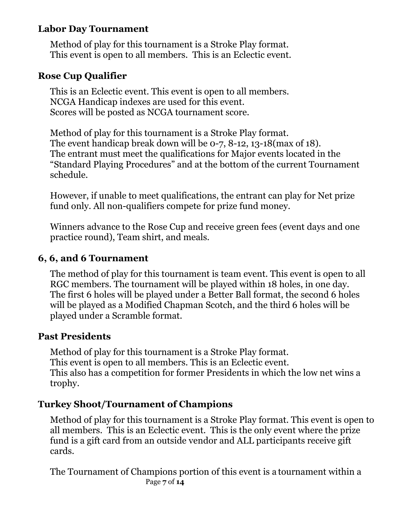#### **Labor Day Tournament**

Method of play for this tournament is a Stroke Play format. This event is open to all members. This is an Eclectic event.

#### **Rose Cup Qualifier**

This is an Eclectic event. This event is open to all members. NCGA Handicap indexes are used for this event. Scores will be posted as NCGA tournament score.

Method of play for this tournament is a Stroke Play format. The event handicap break down will be 0-7, 8-12, 13-18(max of 18). The entrant must meet the qualifications for Major events located in the "Standard Playing Procedures" and at the bottom of the current Tournament schedule.

However, if unable to meet qualifications, the entrant can play for Net prize fund only. All non-qualifiers compete for prize fund money.

Winners advance to the Rose Cup and receive green fees (event days and one practice round), Team shirt, and meals.

#### **6, 6, and 6 Tournament**

The method of play for this tournament is team event. This event is open to all RGC members. The tournament will be played within 18 holes, in one day. The first 6 holes will be played under a Better Ball format, the second 6 holes will be played as a Modified Chapman Scotch, and the third 6 holes will be played under a Scramble format.

#### **Past Presidents**

Method of play for this tournament is a Stroke Play format. This event is open to all members. This is an Eclectic event. This also has a competition for former Presidents in which the low net wins a trophy.

## **Turkey Shoot/Tournament of Champions**

Method of play for this tournament is a Stroke Play format. This event is open to all members. This is an Eclectic event. This is the only event where the prize fund is a gift card from an outside vendor and ALL participants receive gift cards.

 Page **7** of **14** The Tournament of Champions portion of this event is a tournament within a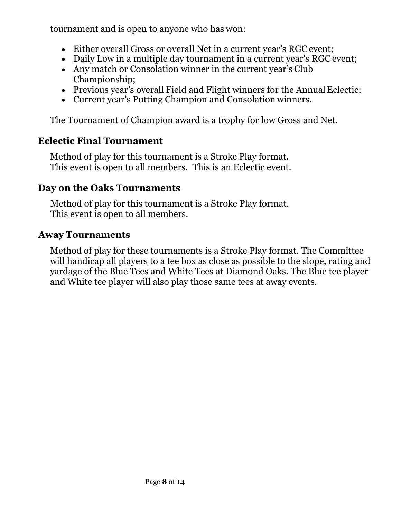tournament and is open to anyone who has won:

- Either overall Gross or overall Net in a current year's RGC event;
- Daily Low in a multiple day tournament in a current year's RGC event;
- Any match or Consolation winner in the current year's Club Championship;
- Previous year's overall Field and Flight winners for the Annual Eclectic;
- Current year's Putting Champion and Consolation winners.

The Tournament of Champion award is a trophy for low Gross and Net.

# **Eclectic Final Tournament**

Method of play for this tournament is a Stroke Play format. This event is open to all members. This is an Eclectic event.

## **Day on the Oaks Tournaments**

Method of play for this tournament is a Stroke Play format. This event is open to all members.

## **Away Tournaments**

Method of play for these tournaments is a Stroke Play format. The Committee will handicap all players to a tee box as close as possible to the slope, rating and yardage of the Blue Tees and White Tees at Diamond Oaks. The Blue tee player and White tee player will also play those same tees at away events.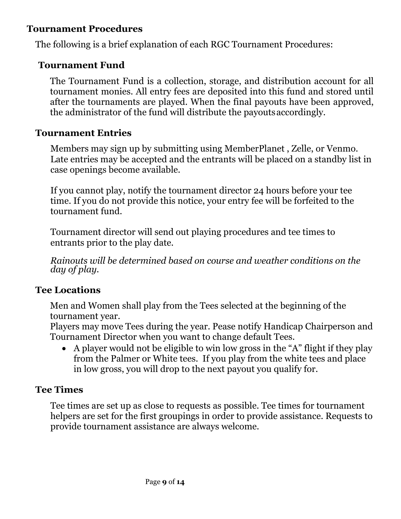#### **Tournament Procedures**

The following is a brief explanation of each RGC Tournament Procedures:

#### **Tournament Fund**

The Tournament Fund is a collection, storage, and distribution account for all tournament monies. All entry fees are deposited into this fund and stored until after the tournaments are played. When the final payouts have been approved, the administrator of the fund will distribute the payouts accordingly.

#### **Tournament Entries**

Members may sign up by submitting using MemberPlanet , Zelle, or Venmo. Late entries may be accepted and the entrants will be placed on a standby list in case openings become available.

If you cannot play, notify the tournament director 24 hours before your tee time. If you do not provide this notice, your entry fee will be forfeited to the tournament fund.

Tournament director will send out playing procedures and tee times to entrants prior to the play date.

*Rainouts will be determined based on course and weather conditions on the day of play.* 

#### **Tee Locations**

Men and Women shall play from the Tees selected at the beginning of the tournament year.

Players may move Tees during the year. Pease notify Handicap Chairperson and Tournament Director when you want to change default Tees.

 A player would not be eligible to win low gross in the "A" flight if they play from the Palmer or White tees. If you play from the white tees and place in low gross, you will drop to the next payout you qualify for.

#### **Tee Times**

Tee times are set up as close to requests as possible. Tee times for tournament helpers are set for the first groupings in order to provide assistance. Requests to provide tournament assistance are always welcome.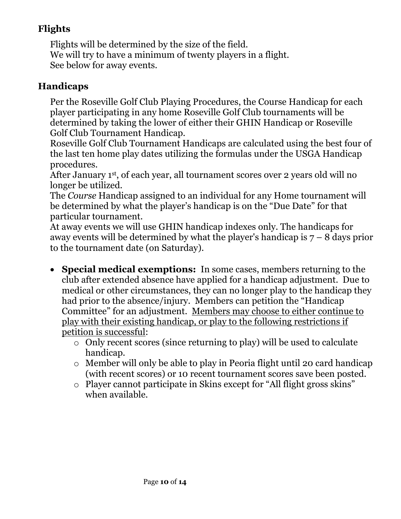# **Flights**

Flights will be determined by the size of the field. We will try to have a minimum of twenty players in a flight. See below for away events.

## **Handicaps**

Per the Roseville Golf Club Playing Procedures, the Course Handicap for each player participating in any home Roseville Golf Club tournaments will be determined by taking the lower of either their GHIN Handicap or Roseville Golf Club Tournament Handicap.

Roseville Golf Club Tournament Handicaps are calculated using the best four of the last ten home play dates utilizing the formulas under the USGA Handicap procedures.

After January 1st, of each year, all tournament scores over 2 years old will no longer be utilized.

The *Course* Handicap assigned to an individual for any Home tournament will be determined by what the player's handicap is on the "Due Date" for that particular tournament.

At away events we will use GHIN handicap indexes only. The handicaps for away events will be determined by what the player's handicap is  $7 - 8$  days prior to the tournament date (on Saturday).

- **Special medical exemptions:** In some cases, members returning to the club after extended absence have applied for a handicap adjustment. Due to medical or other circumstances, they can no longer play to the handicap they had prior to the absence/injury. Members can petition the "Handicap Committee" for an adjustment. Members may choose to either continue to play with their existing handicap, or play to the following restrictions if petition is successful:
	- o Only recent scores (since returning to play) will be used to calculate handicap.
	- o Member will only be able to play in Peoria flight until 20 card handicap (with recent scores) or 10 recent tournament scores save been posted.
	- o Player cannot participate in Skins except for "All flight gross skins" when available.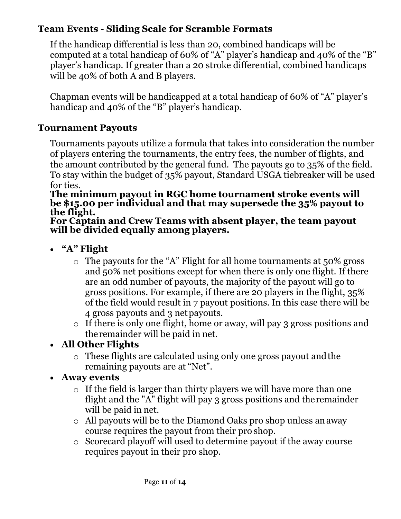# **Team Events - Sliding Scale for Scramble Formats**

If the handicap differential is less than 20, combined handicaps will be computed at a total handicap of 60% of "A" player's handicap and 40% of the "B" player's handicap. If greater than a 20 stroke differential, combined handicaps will be 40% of both A and B players.

Chapman events will be handicapped at a total handicap of 60% of "A" player's handicap and 40% of the "B" player's handicap.

## **Tournament Payouts**

Tournaments payouts utilize a formula that takes into consideration the number of players entering the tournaments, the entry fees, the number of flights, and the amount contributed by the general fund. The payouts go to 35% of the field. To stay within the budget of 35% payout, Standard USGA tiebreaker will be used for ties.

**The minimum payout in RGC home tournament stroke events will be \$15.00 per individual and that may supersede the 35% payout to the flight.** 

**For Captain and Crew Teams with absent player, the team payout will be divided equally among players.** 

- **"A" Flight** 
	- o The payouts for the "A" Flight for all home tournaments at 50% gross and 50% net positions except for when there is only one flight. If there are an odd number of payouts, the majority of the payout will go to gross positions. For example, if there are 20 players in the flight, 35% of the field would result in 7 payout positions. In this case there will be 4 gross payouts and 3 net payouts.
	- o If there is only one flight, home or away, will pay 3 gross positions and the remainder will be paid in net.

# **All Other Flights**

o These flights are calculated using only one gross payout and the remaining payouts are at "Net".

# **Away events**

- $\circ$  If the field is larger than thirty players we will have more than one flight and the "A" flight will pay 3 gross positions and the remainder will be paid in net.
- o All payouts will be to the Diamond Oaks pro shop unless an away course requires the payout from their pro shop.
- o Scorecard playoff will used to determine payout if the away course requires payout in their pro shop.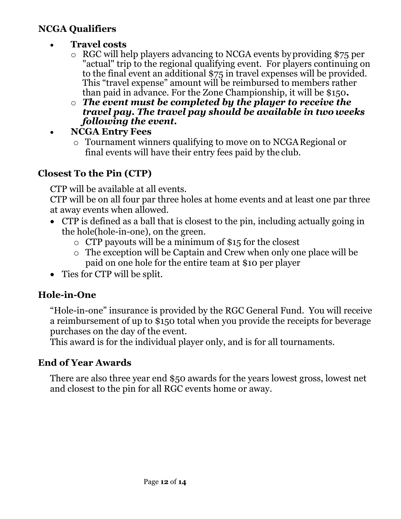#### **NCGA Qualifiers**

- **Travel costs** 
	- o RGC will help players advancing to NCGA events by providing \$75 per "actual" trip to the regional qualifying event. For players continuing on to the final event an additional \$75 in travel expenses will be provided. This "travel expense" amount will be reimbursed to members rather than paid in advance. For the Zone Championship, it will be \$150**.**
	- o *The event must be completed by the player to receive the travel pay. The travel pay should be available in two weeks following the event.*
- **NCGA Entry Fees** 
	- o Tournament winners qualifying to move on to NCGA Regional or final events will have their entry fees paid by the club.

# **Closest To the Pin (CTP)**

CTP will be available at all events.

CTP will be on all four par three holes at home events and at least one par three at away events when allowed.

- CTP is defined as a ball that is closest to the pin, including actually going in the hole(hole-in-one), on the green.
	- o CTP payouts will be a minimum of \$15 for the closest
	- o The exception will be Captain and Crew when only one place will be paid on one hole for the entire team at \$10 per player
- Ties for CTP will be split.

# **Hole-in-One**

"Hole-in-one" insurance is provided by the RGC General Fund. You will receive a reimbursement of up to \$150 total when you provide the receipts for beverage purchases on the day of the event.

This award is for the individual player only, and is for all tournaments.

# **End of Year Awards**

There are also three year end \$50 awards for the years lowest gross, lowest net and closest to the pin for all RGC events home or away.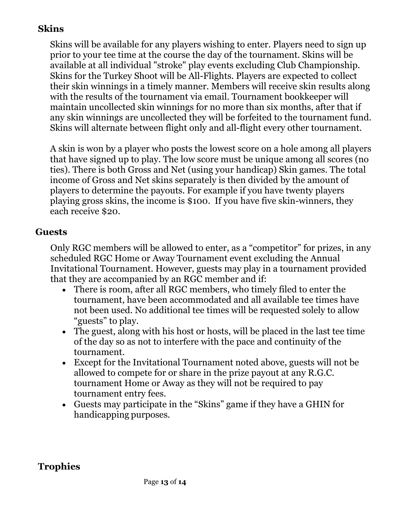# **Skins**

Skins will be available for any players wishing to enter. Players need to sign up prior to your tee time at the course the day of the tournament. Skins will be available at all individual "stroke" play events excluding Club Championship. Skins for the Turkey Shoot will be All-Flights. Players are expected to collect their skin winnings in a timely manner. Members will receive skin results along with the results of the tournament via email. Tournament bookkeeper will maintain uncollected skin winnings for no more than six months, after that if any skin winnings are uncollected they will be forfeited to the tournament fund. Skins will alternate between flight only and all-flight every other tournament.

A skin is won by a player who posts the lowest score on a hole among all players that have signed up to play. The low score must be unique among all scores (no ties). There is both Gross and Net (using your handicap) Skin games. The total income of Gross and Net skins separately is then divided by the amount of players to determine the payouts. For example if you have twenty players playing gross skins, the income is \$100. If you have five skin-winners, they each receive \$20.

## **Guests**

Only RGC members will be allowed to enter, as a "competitor" for prizes, in any scheduled RGC Home or Away Tournament event excluding the Annual Invitational Tournament. However, guests may play in a tournament provided that they are accompanied by an RGC member and if:

- There is room, after all RGC members, who timely filed to enter the tournament, have been accommodated and all available tee times have not been used. No additional tee times will be requested solely to allow "guests" to play.
- The guest, along with his host or hosts, will be placed in the last tee time of the day so as not to interfere with the pace and continuity of the tournament.
- Except for the Invitational Tournament noted above, guests will not be allowed to compete for or share in the prize payout at any R.G.C. tournament Home or Away as they will not be required to pay tournament entry fees.
- Guests may participate in the "Skins" game if they have a GHIN for handicapping purposes.

## **Trophies**